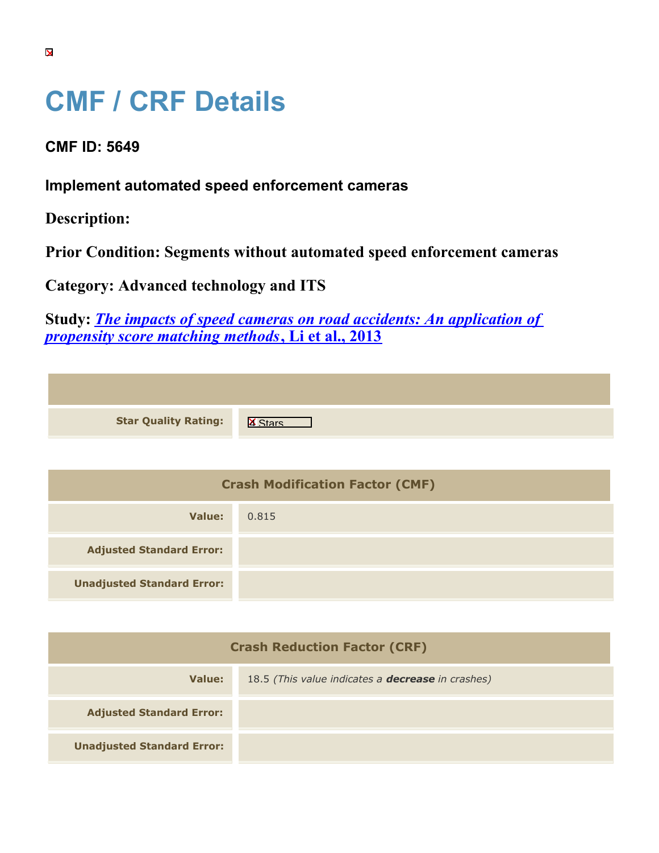## **CMF / CRF Details**

**CMF ID: 5649**

**Implement automated speed enforcement cameras**

**Description:** 

**Prior Condition: Segments without automated speed enforcement cameras**

**Category: Advanced technology and ITS**

**Study:** *[The impacts of speed cameras on road accidents: An application of](https://cmfclearinghouse.org/study_detail.cfm?stid=384) [propensity score matching methods](https://cmfclearinghouse.org/study_detail.cfm?stid=384)***[, Li et al., 2013](https://cmfclearinghouse.org/study_detail.cfm?stid=384)**

| <b>Star Quality Rating:</b> | $\overline{\mathbf{x}}$ |
|-----------------------------|-------------------------|

| <b>Crash Modification Factor (CMF)</b> |       |
|----------------------------------------|-------|
| Value:                                 | 0.815 |
| <b>Adjusted Standard Error:</b>        |       |
| <b>Unadjusted Standard Error:</b>      |       |

| <b>Crash Reduction Factor (CRF)</b> |                                                          |
|-------------------------------------|----------------------------------------------------------|
| Value:                              | 18.5 (This value indicates a <b>decrease</b> in crashes) |
| <b>Adjusted Standard Error:</b>     |                                                          |
| <b>Unadjusted Standard Error:</b>   |                                                          |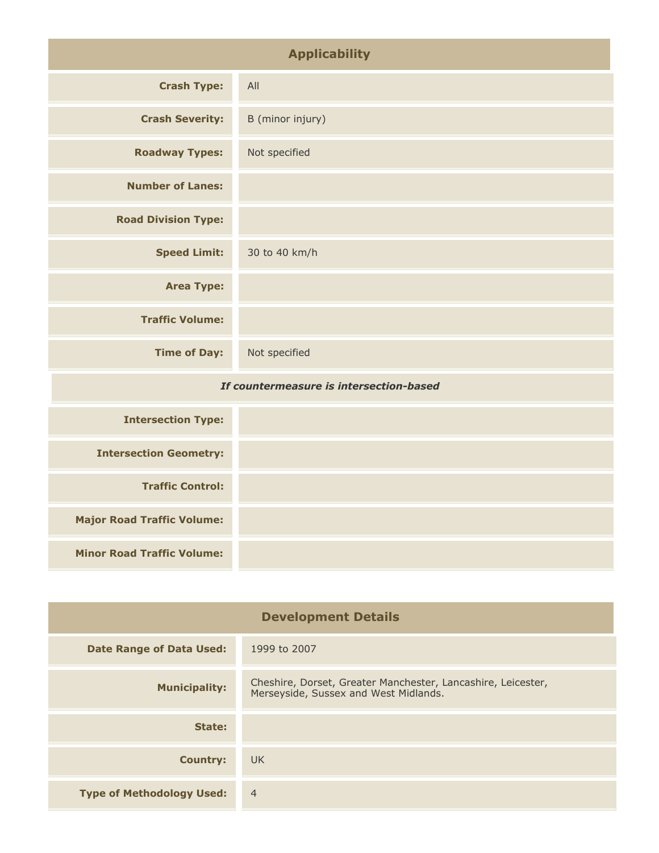| <b>Applicability</b>                    |                  |
|-----------------------------------------|------------------|
| <b>Crash Type:</b>                      | All              |
| <b>Crash Severity:</b>                  | B (minor injury) |
| <b>Roadway Types:</b>                   | Not specified    |
| <b>Number of Lanes:</b>                 |                  |
| <b>Road Division Type:</b>              |                  |
| <b>Speed Limit:</b>                     | 30 to 40 km/h    |
| <b>Area Type:</b>                       |                  |
| <b>Traffic Volume:</b>                  |                  |
| <b>Time of Day:</b>                     | Not specified    |
| If countermeasure is intersection-based |                  |

| <b>Intersection Type:</b>         |  |
|-----------------------------------|--|
| <b>Intersection Geometry:</b>     |  |
| <b>Traffic Control:</b>           |  |
| <b>Major Road Traffic Volume:</b> |  |
| <b>Minor Road Traffic Volume:</b> |  |

| <b>Development Details</b>       |                                                                                                       |
|----------------------------------|-------------------------------------------------------------------------------------------------------|
| <b>Date Range of Data Used:</b>  | 1999 to 2007                                                                                          |
| <b>Municipality:</b>             | Cheshire, Dorset, Greater Manchester, Lancashire, Leicester,<br>Merseyside, Sussex and West Midlands. |
| State:                           |                                                                                                       |
| <b>Country:</b>                  | UK.                                                                                                   |
| <b>Type of Methodology Used:</b> | $\overline{4}$                                                                                        |